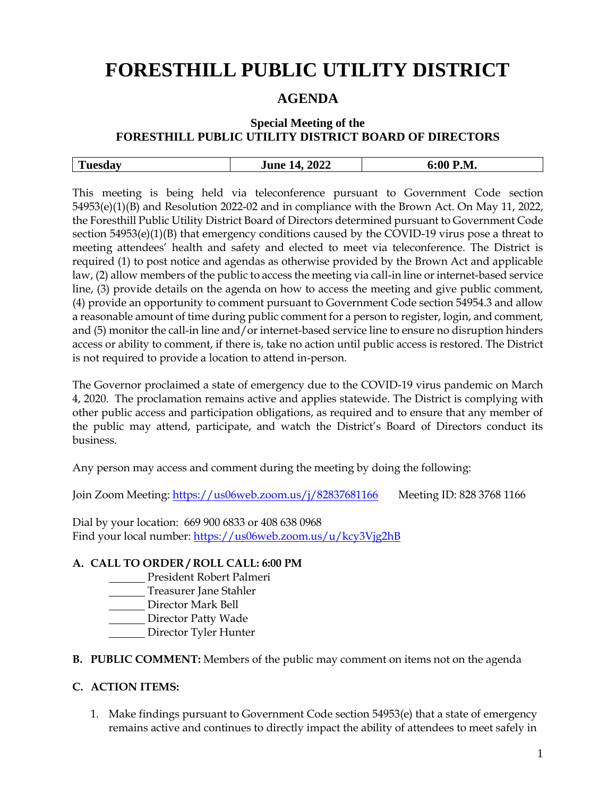# **FORESTHILL PUBLIC UTILITY DISTRICT**

## **AGENDA**

### **Special Meeting of the FORESTHILL PUBLIC UTILITY DISTRICT BOARD OF DIRECTORS**

|  | -- | 2022<br>lune<br>$\Delta$<br>----<br>____ | > М<br>V.L. |
|--|----|------------------------------------------|-------------|
|--|----|------------------------------------------|-------------|

This meeting is being held via teleconference pursuant to Government Code section 54953(e)(1)(B) and Resolution 2022-02 and in compliance with the Brown Act. On May 11, 2022, the Foresthill Public Utility District Board of Directors determined pursuant to Government Code section 54953(e)(1)(B) that emergency conditions caused by the COVID-19 virus pose a threat to meeting attendees' health and safety and elected to meet via teleconference. The District is required (1) to post notice and agendas as otherwise provided by the Brown Act and applicable law, (2) allow members of the public to access the meeting via call-in line or internet-based service line, (3) provide details on the agenda on how to access the meeting and give public comment, (4) provide an opportunity to comment pursuant to Government Code section 54954.3 and allow a reasonable amount of time during public comment for a person to register, login, and comment, and (5) monitor the call-in line and/or internet-based service line to ensure no disruption hinders access or ability to comment, if there is, take no action until public access is restored. The District is not required to provide a location to attend in-person.

The Governor proclaimed a state of emergency due to the COVID-19 virus pandemic on March 4, 2020. The proclamation remains active and applies statewide. The District is complying with other public access and participation obligations, as required and to ensure that any member of the public may attend, participate, and watch the District's Board of Directors conduct its business.

Any person may access and comment during the meeting by doing the following:

Join Zoom Meeting:<https://us06web.zoom.us/j/82837681166> Meeting ID: 828 3768 1166

Dial by your location: 669 900 6833 or 408 638 0968 Find your local number:<https://us06web.zoom.us/u/kcy3Vjg2hB>

#### **A. CALL TO ORDER / ROLL CALL: 6:00 PM**

- President Robert Palmeri
- Treasurer Jane Stahler
- Director Mark Bell
- Director Patty Wade
- Director Tyler Hunter
- **B. PUBLIC COMMENT:** Members of the public may comment on items not on the agenda

#### **C. ACTION ITEMS:**

1. Make findings pursuant to Government Code section 54953(e) that a state of emergency remains active and continues to directly impact the ability of attendees to meet safely in